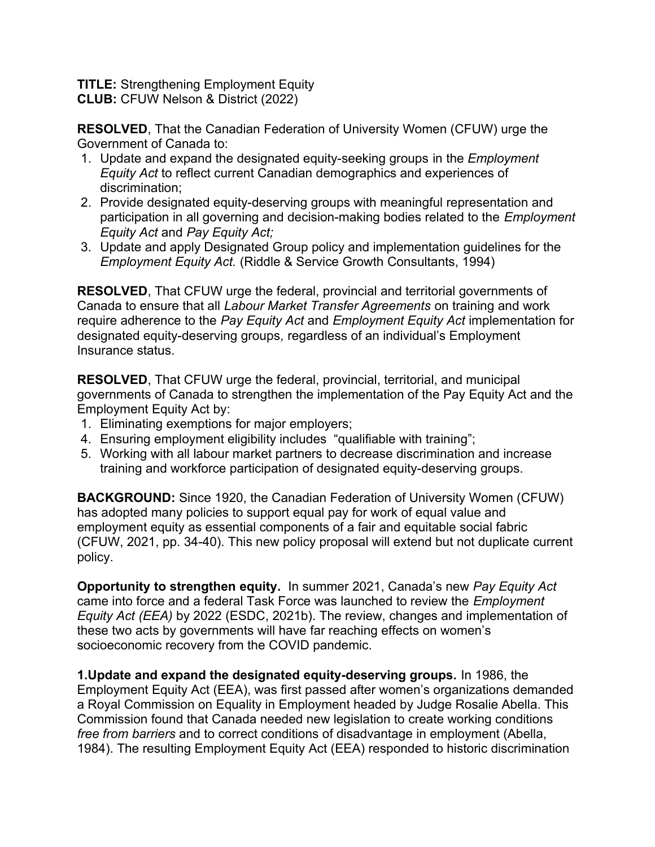**TITLE:** Strengthening Employment Equity **CLUB:** CFUW Nelson & District (2022)

**RESOLVED**, That the Canadian Federation of University Women (CFUW) urge the Government of Canada to:

- 1. Update and expand the designated equity-seeking groups in the *Employment Equity Act* to reflect current Canadian demographics and experiences of discrimination;
- 2. Provide designated equity-deserving groups with meaningful representation and participation in all governing and decision-making bodies related to the *Employment Equity Act* and *Pay Equity Act;*
- 3. Update and apply Designated Group policy and implementation guidelines for the *Employment Equity Act.* (Riddle & Service Growth Consultants, 1994)

**RESOLVED**, That CFUW urge the federal, provincial and territorial governments of Canada to ensure that all *Labour Market Transfer Agreements* on training and work require adherence to the *Pay Equity Act* and *Employment Equity Act* implementation for designated equity-deserving groups*,* regardless of an individual's Employment Insurance status.

**RESOLVED**, That CFUW urge the federal, provincial, territorial, and municipal governments of Canada to strengthen the implementation of the Pay Equity Act and the Employment Equity Act by:

- 1. Eliminating exemptions for major employers;
- 4. Ensuring employment eligibility includes "qualifiable with training";
- 5. Working with all labour market partners to decrease discrimination and increase training and workforce participation of designated equity-deserving groups.

**BACKGROUND:** Since 1920, the Canadian Federation of University Women (CFUW) has adopted many policies to support equal pay for work of equal value and employment equity as essential components of a fair and equitable social fabric (CFUW, 2021, pp. 34-40). This new policy proposal will extend but not duplicate current policy.

**Opportunity to strengthen equity.** In summer 2021, Canada's new *Pay Equity Act* came into force and a federal Task Force was launched to review the *Employment Equity Act (EEA)* by 2022 (ESDC, 2021b). The review, changes and implementation of these two acts by governments will have far reaching effects on women's socioeconomic recovery from the COVID pandemic.

**1.Update and expand the designated equity-deserving groups.** In 1986, the Employment Equity Act (EEA), was first passed after women's organizations demanded a Royal Commission on Equality in Employment headed by Judge Rosalie Abella. This Commission found that Canada needed new legislation to create working conditions *free from barriers* and to correct conditions of disadvantage in employment (Abella, 1984). The resulting Employment Equity Act (EEA) responded to historic discrimination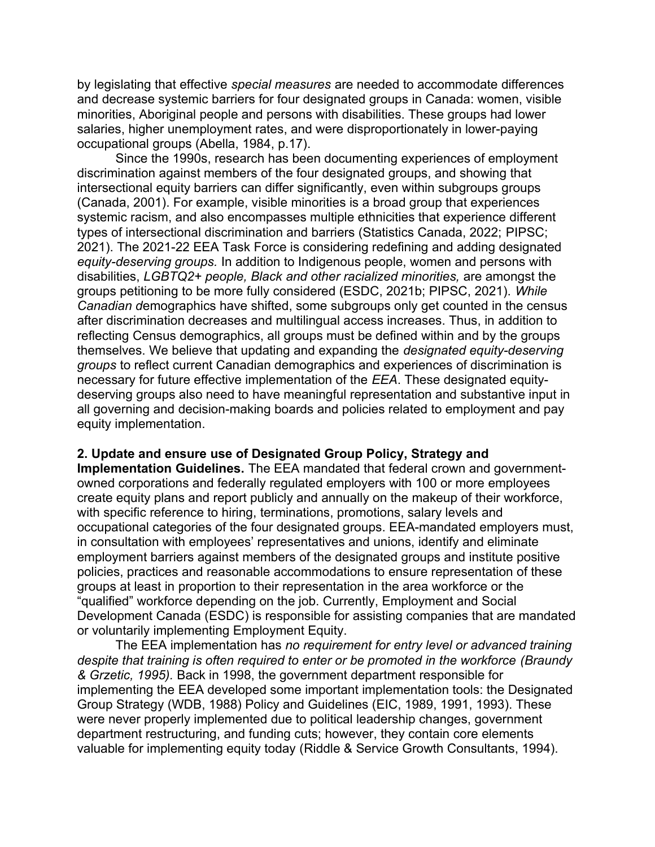by legislating that effective *special measures* are needed to accommodate differences and decrease systemic barriers for four designated groups in Canada: women, visible minorities, Aboriginal people and persons with disabilities. These groups had lower salaries, higher unemployment rates, and were disproportionately in lower-paying occupational groups (Abella, 1984, p.17).

Since the 1990s, research has been documenting experiences of employment discrimination against members of the four designated groups, and showing that intersectional equity barriers can differ significantly, even within subgroups groups (Canada, 2001). For example, visible minorities is a broad group that experiences systemic racism, and also encompasses multiple ethnicities that experience different types of intersectional discrimination and barriers (Statistics Canada, 2022; PIPSC; 2021). The 2021-22 EEA Task Force is considering redefining and adding designated *equity-deserving groups.* In addition to Indigenous people, women and persons with disabilities, *LGBTQ2+ people, Black and other racialized minorities,* are amongst the groups petitioning to be more fully considered (ESDC, 2021b; PIPSC, 2021). *While Canadian d*emographics have shifted, some subgroups only get counted in the census after discrimination decreases and multilingual access increases. Thus, in addition to reflecting Census demographics, all groups must be defined within and by the groups themselves. We believe that updating and expanding the *designated equity-deserving groups* to reflect current Canadian demographics and experiences of discrimination is necessary for future effective implementation of the *EEA*. These designated equitydeserving groups also need to have meaningful representation and substantive input in all governing and decision-making boards and policies related to employment and pay equity implementation.

## **2. Update and ensure use of Designated Group Policy, Strategy and**

**Implementation Guidelines.** The EEA mandated that federal crown and governmentowned corporations and federally regulated employers with 100 or more employees create equity plans and report publicly and annually on the makeup of their workforce, with specific reference to hiring, terminations, promotions, salary levels and occupational categories of the four designated groups. EEA-mandated employers must, in consultation with employees' representatives and unions, identify and eliminate employment barriers against members of the designated groups and institute positive policies, practices and reasonable accommodations to ensure representation of these groups at least in proportion to their representation in the area workforce or the "qualified" workforce depending on the job. Currently, Employment and Social Development Canada (ESDC) is responsible for assisting companies that are mandated or voluntarily implementing Employment Equity.

The EEA implementation has *no requirement for entry level or advanced training despite that training is often required to enter or be promoted in the workforce (Braundy & Grzetic, 1995).* Back in 1998, the government department responsible for implementing the EEA developed some important implementation tools: the Designated Group Strategy (WDB, 1988) Policy and Guidelines (EIC, 1989, 1991, 1993). These were never properly implemented due to political leadership changes, government department restructuring, and funding cuts; however, they contain core elements valuable for implementing equity today (Riddle & Service Growth Consultants, 1994).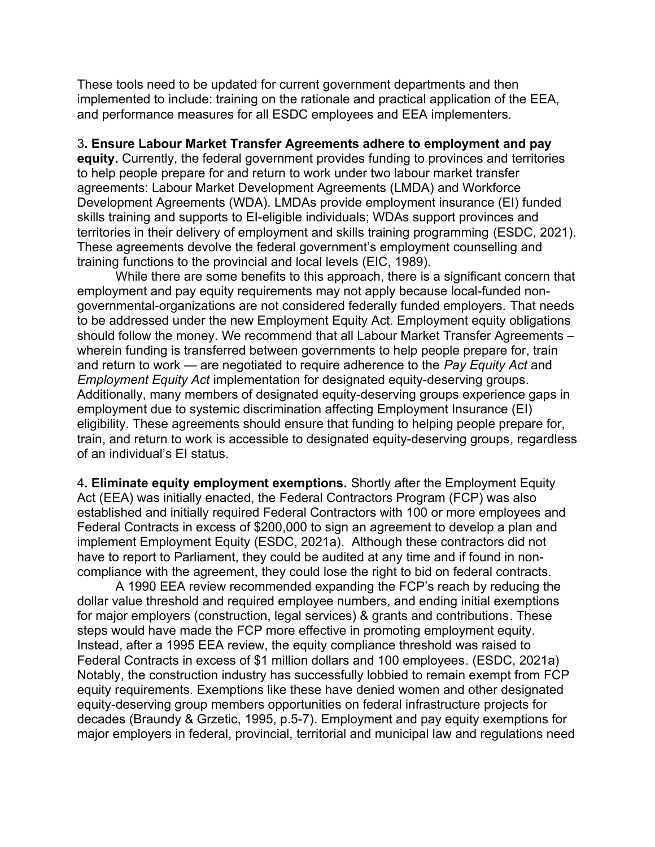These tools need to be updated for current government departments and then implemented to include: training on the rationale and practical application of the EEA, and performance measures for all ESDC employees and EEA implementers.

3**. Ensure Labour Market Transfer Agreements adhere to employment and pay equity.** Currently, the federal government provides funding to provinces and territories to help people prepare for and return to work under two labour market transfer agreements: Labour Market Development Agreements (LMDA) and Workforce Development Agreements (WDA). LMDAs provide employment insurance (EI) funded skills training and supports to EI-eligible individuals; WDAs support provinces and territories in their delivery of employment and skills training programming (ESDC, 2021). These agreements devolve the federal government's employment counselling and training functions to the provincial and local levels (EIC, 1989).

While there are some benefits to this approach, there is a significant concern that employment and pay equity requirements may not apply because local-funded nongovernmental-organizations are not considered federally funded employers. That needs to be addressed under the new Employment Equity Act. Employment equity obligations should follow the money. We recommend that all Labour Market Transfer Agreements – wherein funding is transferred between governments to help people prepare for, train and return to work — are negotiated to require adherence to the *Pay Equity Act* and *Employment Equity Act* implementation for designated equity-deserving groups*.*  Additionally, many members of designated equity-deserving groups experience gaps in employment due to systemic discrimination affecting Employment Insurance (EI) eligibility. These agreements should ensure that funding to helping people prepare for, train, and return to work is accessible to designated equity-deserving groups*,* regardless of an individual's EI status.

4**. Eliminate equity employment exemptions.** Shortly after the Employment Equity Act (EEA) was initially enacted, the Federal Contractors Program (FCP) was also established and initially required Federal Contractors with 100 or more employees and Federal Contracts in excess of \$200,000 to sign an agreement to develop a plan and implement Employment Equity (ESDC, 2021a). Although these contractors did not have to report to Parliament, they could be audited at any time and if found in noncompliance with the agreement, they could lose the right to bid on federal contracts.

A 1990 EEA review recommended expanding the FCP's reach by reducing the dollar value threshold and required employee numbers, and ending initial exemptions for major employers (construction, legal services) & grants and contributions. These steps would have made the FCP more effective in promoting employment equity. Instead, after a 1995 EEA review, the equity compliance threshold was raised to Federal Contracts in excess of \$1 million dollars and 100 employees. (ESDC, 2021a) Notably, the construction industry has successfully lobbied to remain exempt from FCP equity requirements. Exemptions like these have denied women and other designated equity-deserving group members opportunities on federal infrastructure projects for decades (Braundy & Grzetic, 1995, p.5-7). Employment and pay equity exemptions for major employers in federal, provincial, territorial and municipal law and regulations need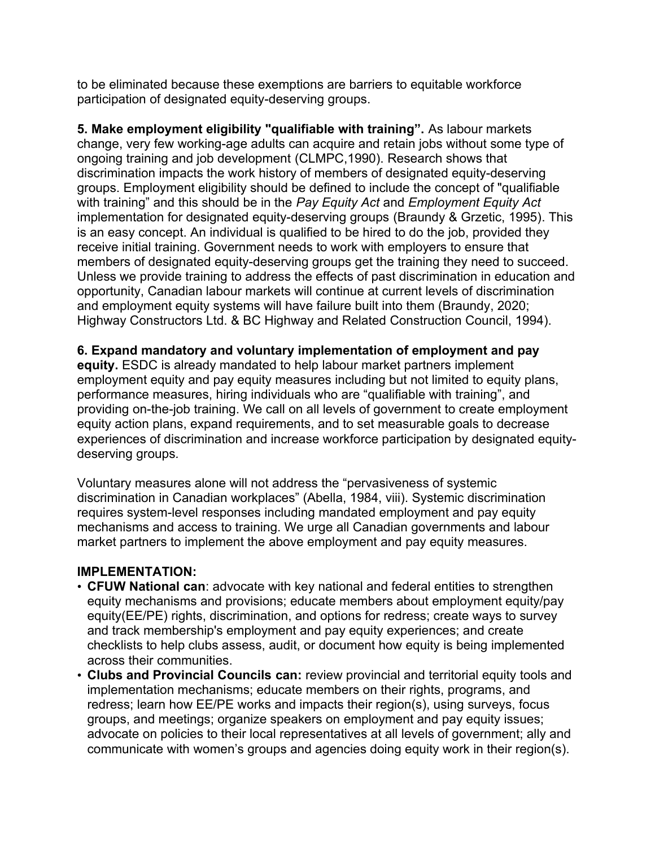to be eliminated because these exemptions are barriers to equitable workforce participation of designated equity-deserving groups.

**5. Make employment eligibility "qualifiable with training".** As labour markets change, very few working-age adults can acquire and retain jobs without some type of ongoing training and job development (CLMPC,1990). Research shows that discrimination impacts the work history of members of designated equity-deserving groups. Employment eligibility should be defined to include the concept of "qualifiable with training" and this should be in the *Pay Equity Act* and *Employment Equity Act* implementation for designated equity-deserving groups (Braundy & Grzetic, 1995). This is an easy concept. An individual is qualified to be hired to do the job, provided they receive initial training. Government needs to work with employers to ensure that members of designated equity-deserving groups get the training they need to succeed. Unless we provide training to address the effects of past discrimination in education and opportunity, Canadian labour markets will continue at current levels of discrimination and employment equity systems will have failure built into them (Braundy, 2020; Highway Constructors Ltd. & BC Highway and Related Construction Council, 1994).

## **6. Expand mandatory and voluntary implementation of employment and pay**

**equity.** ESDC is already mandated to help labour market partners implement employment equity and pay equity measures including but not limited to equity plans, performance measures, hiring individuals who are "qualifiable with training", and providing on-the-job training. We call on all levels of government to create employment equity action plans, expand requirements, and to set measurable goals to decrease experiences of discrimination and increase workforce participation by designated equitydeserving groups*.*

Voluntary measures alone will not address the "pervasiveness of systemic discrimination in Canadian workplaces" (Abella, 1984, viii). Systemic discrimination requires system-level responses including mandated employment and pay equity mechanisms and access to training. We urge all Canadian governments and labour market partners to implement the above employment and pay equity measures.

## **IMPLEMENTATION:**

- **CFUW National can**: advocate with key national and federal entities to strengthen equity mechanisms and provisions; educate members about employment equity/pay equity(EE/PE) rights, discrimination, and options for redress; create ways to survey and track membership's employment and pay equity experiences; and create checklists to help clubs assess, audit, or document how equity is being implemented across their communities.
- **Clubs and Provincial Councils can:** review provincial and territorial equity tools and implementation mechanisms; educate members on their rights, programs, and redress; learn how EE/PE works and impacts their region(s), using surveys, focus groups, and meetings; organize speakers on employment and pay equity issues; advocate on policies to their local representatives at all levels of government; ally and communicate with women's groups and agencies doing equity work in their region(s).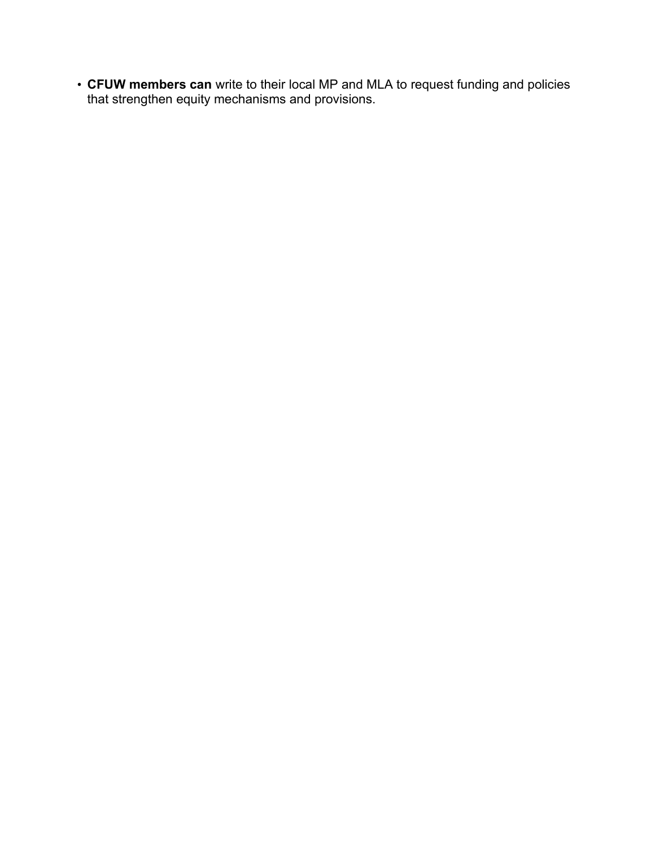• **CFUW members can** write to their local MP and MLA to request funding and policies that strengthen equity mechanisms and provisions.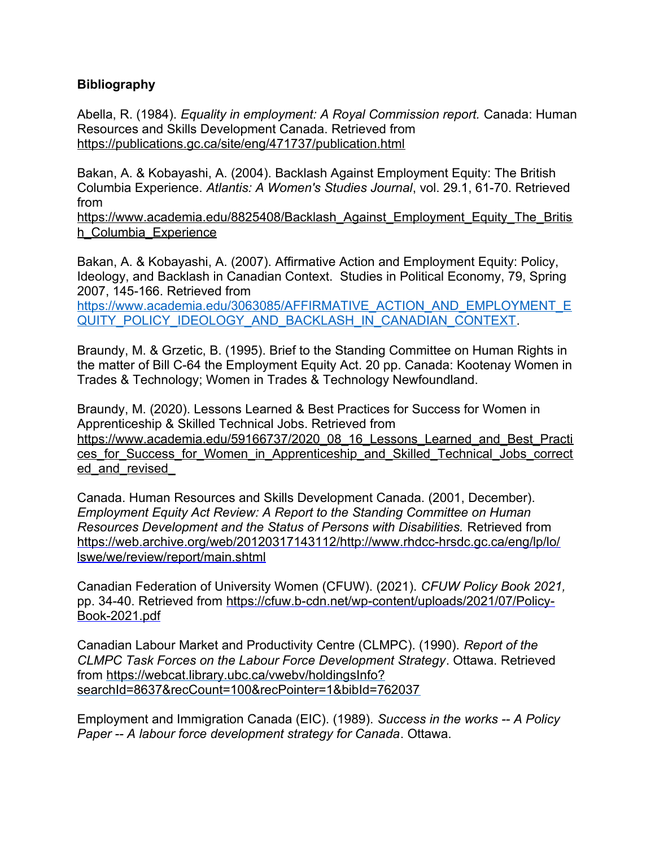## **Bibliography**

Abella, R. (1984). *Equality in employment: A Royal Commission report.* Canada: Human Resources and Skills Development Canada. Retrieved from <https://publications.gc.ca/site/eng/471737/publication.html>

Bakan, A. & Kobayashi, A. (2004). Backlash Against Employment Equity: The British Columbia Experience. *Atlantis: A Women's Studies Journal*, vol. 29.1, 61-70. Retrieved from

[https://www.academia.edu/8825408/Backlash\\_Against\\_Employment\\_Equity\\_The\\_Britis](https://www.academia.edu/8825408/Backlash_Against_Employment_Equity_The_British_Columbia_Experience) h Columbia Experience

Bakan, A. & Kobayashi, A. (2007). Affirmative Action and Employment Equity: Policy, Ideology, and Backlash in Canadian Context. Studies in Political Economy, 79, Spring 2007, 145-166. Retrieved from

[https://www.academia.edu/3063085/AFFIRMATIVE\\_ACTION\\_AND\\_EMPLOYMENT\\_E](https://www.academia.edu/3063085/AFFIRMATIVE_ACTION_AND_EMPLOYMENT_EQUITY_POLICY_IDEOLOGY_AND_BACKLASH_IN_CANADIAN_CONTEXT) [QUITY\\_POLICY\\_IDEOLOGY\\_AND\\_BACKLASH\\_IN\\_CANADIAN\\_CONTEXT.](https://www.academia.edu/3063085/AFFIRMATIVE_ACTION_AND_EMPLOYMENT_EQUITY_POLICY_IDEOLOGY_AND_BACKLASH_IN_CANADIAN_CONTEXT)

Braundy, M. & Grzetic, B. (1995). Brief to the Standing Committee on Human Rights in the matter of Bill C-64 the Employment Equity Act. 20 pp. Canada: Kootenay Women in Trades & Technology; Women in Trades & Technology Newfoundland.

Braundy, M. (2020). Lessons Learned & Best Practices for Success for Women in Apprenticeship & Skilled Technical Jobs. Retrieved from [https://www.academia.edu/59166737/2020\\_08\\_16\\_Lessons\\_Learned\\_and\\_Best\\_Practi](https://www.academia.edu/59166737/2020_08_16_Lessons_Learned_and_Best_Practices_for_Success_for_Women_in_Apprenticeship_and_Skilled_Technical_Jobs_corrected_and_revised_) ces for Success for Women in Apprenticeship and Skilled Technical Jobs correct ed and revised

Canada. Human Resources and Skills Development Canada. (2001, December). *Employment Equity Act Review: A Report to the Standing Committee on Human Resources Development and the Status of Persons with Disabilities.* Retrieved from [https://web.archive.org/web/20120317143112/http://www.rhdcc-hrsdc.gc.ca/eng/lp/lo/](https://web.archive.org/web/20120317143112/http://www.rhdcc-hrsdc.gc.ca/eng/lp/lo/lswe/we/review/report/main.shtml) [lswe/we/review/report/main.shtml](https://web.archive.org/web/20120317143112/http://www.rhdcc-hrsdc.gc.ca/eng/lp/lo/lswe/we/review/report/main.shtml)

Canadian Federation of University Women (CFUW). (2021). *CFUW Policy Book 2021,*  pp. 34-40. Retrieved from [https://cfuw.b-cdn.net/wp-content/uploads/2021/07/Policy-](https://cfuw.b-cdn.net/wp-content/uploads/2021/07/Policy-Book-2021.pdf)[Book-2021.pdf](https://cfuw.b-cdn.net/wp-content/uploads/2021/07/Policy-Book-2021.pdf)

Canadian Labour Market and Productivity Centre (CLMPC). (1990). *Report of the CLMPC Task Forces on the Labour Force Development Strategy*. Ottawa. Retrieved from [https://webcat.library.ubc.ca/vwebv/holdingsInfo?](https://webcat.library.ubc.ca/vwebv/holdingsInfo?searchId=8637&recCount=100&recPointer=1&bibId=762037) [searchId=8637&recCount=100&recPointer=1&bibId=762037](https://webcat.library.ubc.ca/vwebv/holdingsInfo?searchId=8637&recCount=100&recPointer=1&bibId=762037)

Employment and Immigration Canada (EIC). (1989). *Success in the works -- A Policy Paper -- A labour force development strategy for Canada*. Ottawa.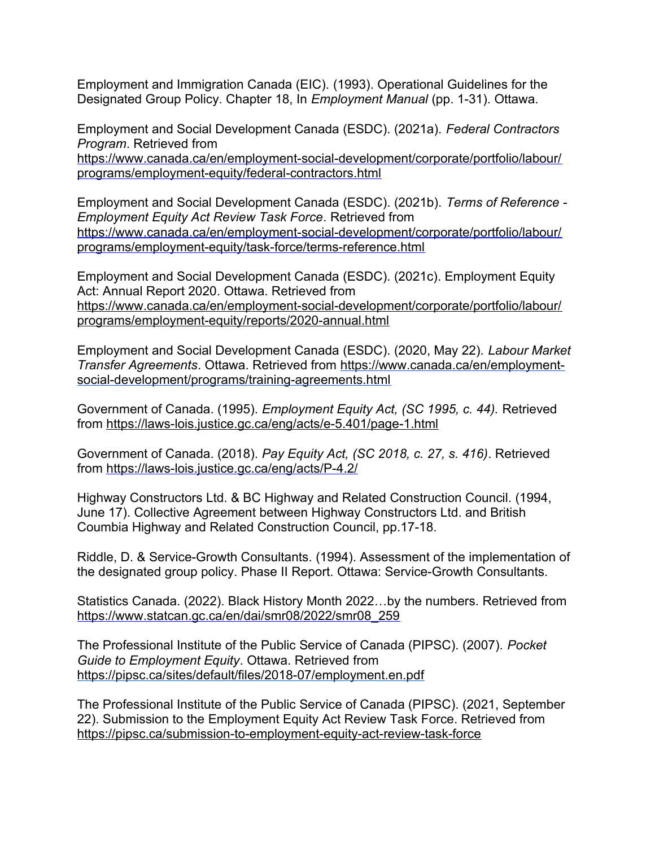Employment and Immigration Canada (EIC). (1993). Operational Guidelines for the Designated Group Policy. Chapter 18, In *Employment Manual* (pp. 1-31). Ottawa.

Employment and Social Development Canada (ESDC). (2021a). *Federal Contractors Program*. Retrieved from

[https://www.canada.ca/en/employment-social-development/corporate/portfolio/labour/](https://www.canada.ca/en/employment-social-development/corporate/portfolio/labour/programs/employment-equity/federal-contractors.html) [programs/employment-equity/federal-contractors.html](https://www.canada.ca/en/employment-social-development/corporate/portfolio/labour/programs/employment-equity/federal-contractors.html)

Employment and Social Development Canada (ESDC). (2021b). *Terms of Reference - Employment Equity Act Review Task Force*. Retrieved from [https://www.canada.ca/en/employment-social-development/corporate/portfolio/labour/](https://www.canada.ca/en/employment-social-development/corporate/portfolio/labour/programs/employment-equity/task-force/terms-reference.html) [programs/employment-equity/task-force/terms-reference.html](https://www.canada.ca/en/employment-social-development/corporate/portfolio/labour/programs/employment-equity/task-force/terms-reference.html) 

Employment and Social Development Canada (ESDC). (2021c). Employment Equity Act: Annual Report 2020. Ottawa. Retrieved from [https://www.canada.ca/en/employment-social-development/corporate/portfolio/labour/](https://www.canada.ca/en/employment-social-development/corporate/portfolio/labour/programs/employment-equity/reports/2020-annual.html) [programs/employment-equity/reports/2020-annual.html](https://www.canada.ca/en/employment-social-development/corporate/portfolio/labour/programs/employment-equity/reports/2020-annual.html)

Employment and Social Development Canada (ESDC). (2020, May 22). *Labour Market Transfer Agreements*. Ottawa. Retrieved from [https://www.canada.ca/en/employment](https://www.canada.ca/en/employment-social-development/programs/training-agreements.html)[social-development/programs/training-agreements.html](https://www.canada.ca/en/employment-social-development/programs/training-agreements.html) 

Government of Canada. (1995). *Employment Equity Act, (SC 1995, c. 44).* Retrieved from<https://laws-lois.justice.gc.ca/eng/acts/e-5.401/page-1.html>

Government of Canada. (2018). *Pay Equity Act, (SC 2018, c. 27, s. 416)*. Retrieved from<https://laws-lois.justice.gc.ca/eng/acts/P-4.2/>

Highway Constructors Ltd. & BC Highway and Related Construction Council. (1994, June 17). Collective Agreement between Highway Constructors Ltd. and British Coumbia Highway and Related Construction Council, pp.17-18.

Riddle, D. & Service-Growth Consultants. (1994). Assessment of the implementation of the designated group policy. Phase II Report. Ottawa: Service-Growth Consultants.

Statistics Canada. (2022). Black History Month 2022…by the numbers. Retrieved from [https://www.statcan.gc.ca/en/dai/smr08/2022/smr08\\_259](https://www.statcan.gc.ca/en/dai/smr08/2022/smr08_259)

The Professional Institute of the Public Service of Canada (PIPSC). (2007). *Pocket Guide to Employment Equity*. Ottawa. Retrieved from <https://pipsc.ca/sites/default/files/2018-07/employment.en.pdf>

The Professional Institute of the Public Service of Canada (PIPSC). (2021, September 22). Submission to the Employment Equity Act Review Task Force. Retrieved from <https://pipsc.ca/submission-to-employment-equity-act-review-task-force>